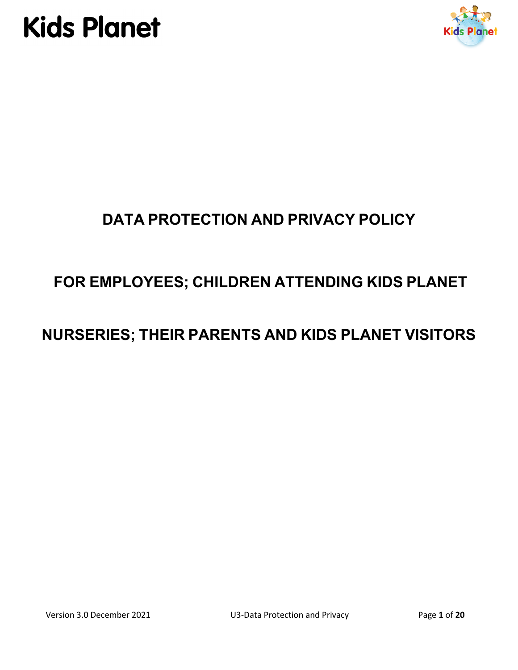



## **DATA PROTECTION AND PRIVACY POLICY**

## **FOR EMPLOYEES; CHILDREN ATTENDING KIDS PLANET**

## **NURSERIES; THEIR PARENTS AND KIDS PLANET VISITORS**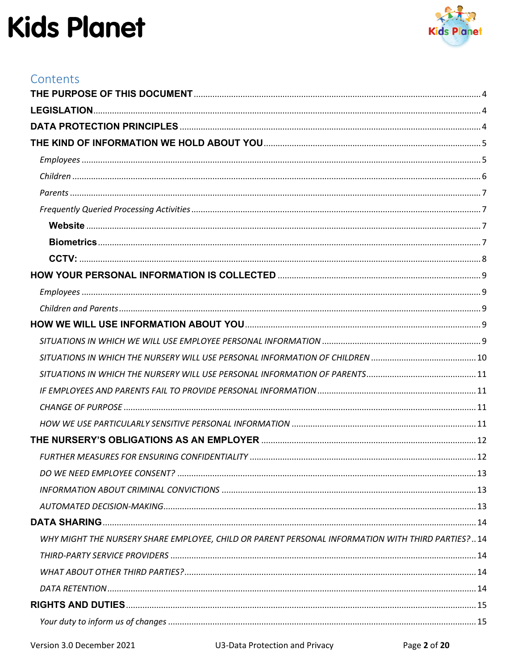

| Contents                                                                                         |  |
|--------------------------------------------------------------------------------------------------|--|
|                                                                                                  |  |
|                                                                                                  |  |
|                                                                                                  |  |
|                                                                                                  |  |
|                                                                                                  |  |
|                                                                                                  |  |
|                                                                                                  |  |
|                                                                                                  |  |
|                                                                                                  |  |
|                                                                                                  |  |
|                                                                                                  |  |
|                                                                                                  |  |
|                                                                                                  |  |
|                                                                                                  |  |
|                                                                                                  |  |
|                                                                                                  |  |
|                                                                                                  |  |
|                                                                                                  |  |
|                                                                                                  |  |
|                                                                                                  |  |
|                                                                                                  |  |
|                                                                                                  |  |
|                                                                                                  |  |
|                                                                                                  |  |
|                                                                                                  |  |
|                                                                                                  |  |
|                                                                                                  |  |
| WHY MIGHT THE NURSERY SHARE EMPLOYEE, CHILD OR PARENT PERSONAL INFORMATION WITH THIRD PARTIES?14 |  |
|                                                                                                  |  |
|                                                                                                  |  |
|                                                                                                  |  |
|                                                                                                  |  |
|                                                                                                  |  |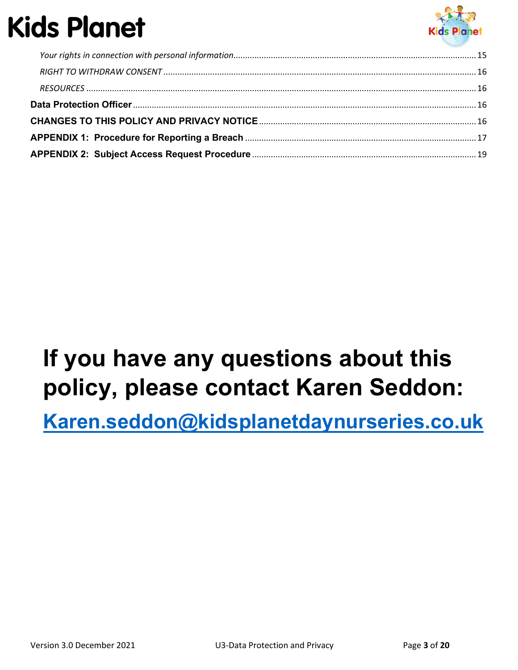

## **If you have any questions about this policy, please contact Karen Seddon:**

**[Karen.seddon@kidsplanetdaynurseries.co.uk](mailto:Karen.seddon@kidsplanetdaynurseries.co.uk)**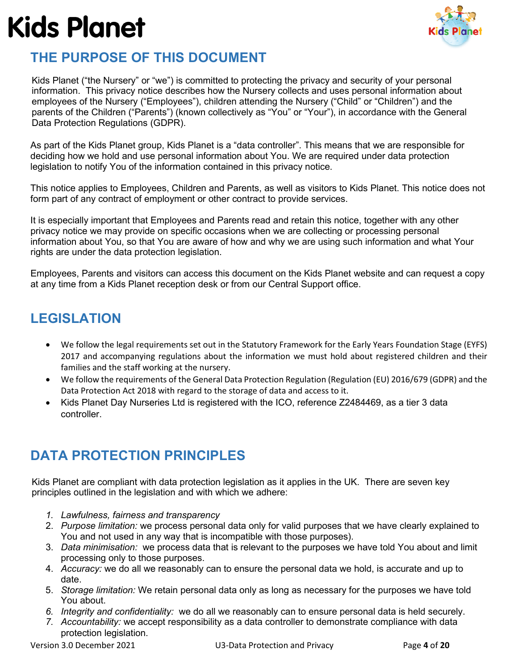

### <span id="page-3-0"></span>**THE PURPOSE OF THIS DOCUMENT**

Kids Planet ("the Nursery" or "we") is committed to protecting the privacy and security of your personal information. This privacy notice describes how the Nursery collects and uses personal information about employees of the Nursery ("Employees"), children attending the Nursery ("Child" or "Children") and the parents of the Children ("Parents") (known collectively as "You" or "Your"), in accordance with the General Data Protection Regulations (GDPR).

As part of the Kids Planet group, Kids Planet is a "data controller". This means that we are responsible for deciding how we hold and use personal information about You. We are required under data protection legislation to notify You of the information contained in this privacy notice.

This notice applies to Employees, Children and Parents, as well as visitors to Kids Planet. This notice does not form part of any contract of employment or other contract to provide services.

It is especially important that Employees and Parents read and retain this notice, together with any other privacy notice we may provide on specific occasions when we are collecting or processing personal information about You, so that You are aware of how and why we are using such information and what Your rights are under the data protection legislation.

Employees, Parents and visitors can access this document on the Kids Planet website and can request a copy at any time from a Kids Planet reception desk or from our Central Support office.

## <span id="page-3-1"></span>**LEGISLATION**

- We follow the legal requirements set out in the Statutory Framework for the Early Years Foundation Stage (EYFS) 2017 and accompanying regulations about the information we must hold about registered children and their families and the staff working at the nursery.
- We follow the requirements of the General Data Protection Regulation (Regulation (EU) 2016/679 (GDPR) and the Data Protection Act 2018 with regard to the storage of data and access to it.
- Kids Planet Day Nurseries Ltd is registered with the ICO, reference Z2484469, as a tier 3 data controller.

## <span id="page-3-2"></span>**DATA PROTECTION PRINCIPLES**

Kids Planet are compliant with data protection legislation as it applies in the UK. There are seven key principles outlined in the legislation and with which we adhere:

- *1. Lawfulness, fairness and transparency*
- 2. *Purpose limitation:* we process personal data only for valid purposes that we have clearly explained to You and not used in any way that is incompatible with those purposes).
- 3. *Data minimisation:* we process data that is relevant to the purposes we have told You about and limit processing only to those purposes.
- 4. *Accuracy:* we do all we reasonably can to ensure the personal data we hold, is accurate and up to date.
- 5. *Storage limitation:* We retain personal data only as long as necessary for the purposes we have told You about.
- *6. Integrity and confidentiality:* we do all we reasonably can to ensure personal data is held securely.
- *7. Accountability:* we accept responsibility as a data controller to demonstrate compliance with data protection legislation.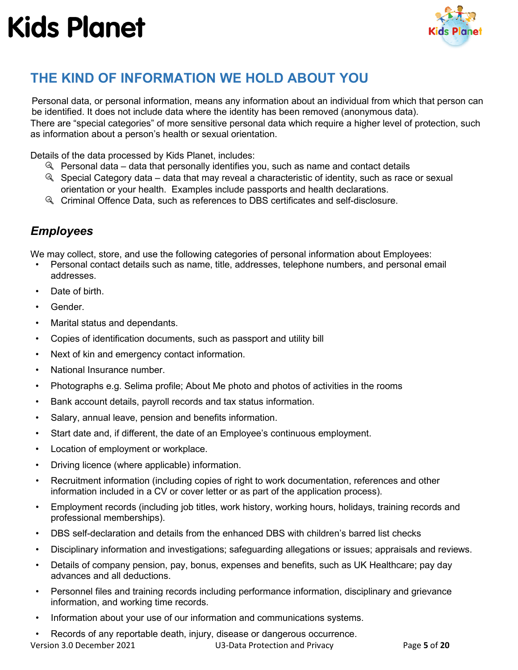

## <span id="page-4-0"></span>**THE KIND OF INFORMATION WE HOLD ABOUT YOU**

Personal data, or personal information, means any information about an individual from which that person can be identified. It does not include data where the identity has been removed (anonymous data). There are "special categories" of more sensitive personal data which require a higher level of protection, such as information about a person's health or sexual orientation.

Details of the data processed by Kids Planet, includes:

- $\mathbb Q$  Personal data data that personally identifies you, such as name and contact details
- $\mathbb Q$  Special Category data data that may reveal a characteristic of identity, such as race or sexual orientation or your health. Examples include passports and health declarations.
- Criminal Offence Data, such as references to DBS certificates and self-disclosure.

### <span id="page-4-1"></span>*Employees*

We may collect, store, and use the following categories of personal information about Employees:

- Personal contact details such as name, title, addresses, telephone numbers, and personal email addresses.
- Date of birth.
- Gender.
- Marital status and dependants.
- Copies of identification documents, such as passport and utility bill
- Next of kin and emergency contact information.
- National Insurance number.
- Photographs e.g. Selima profile; About Me photo and photos of activities in the rooms
- Bank account details, payroll records and tax status information.
- Salary, annual leave, pension and benefits information.
- Start date and, if different, the date of an Employee's continuous employment.
- Location of employment or workplace.
- Driving licence (where applicable) information.
- Recruitment information (including copies of right to work documentation, references and other information included in a CV or cover letter or as part of the application process).
- Employment records (including job titles, work history, working hours, holidays, training records and professional memberships).
- DBS self-declaration and details from the enhanced DBS with children's barred list checks
- Disciplinary information and investigations; safeguarding allegations or issues; appraisals and reviews.
- Details of company pension, pay, bonus, expenses and benefits, such as UK Healthcare; pay day advances and all deductions.
- Personnel files and training records including performance information, disciplinary and grievance information, and working time records.
- Information about your use of our information and communications systems.
- Records of any reportable death, injury, disease or dangerous occurrence.

Version 3.0 December 2021 U3-Data Protection and Privacy Page **5** of **20**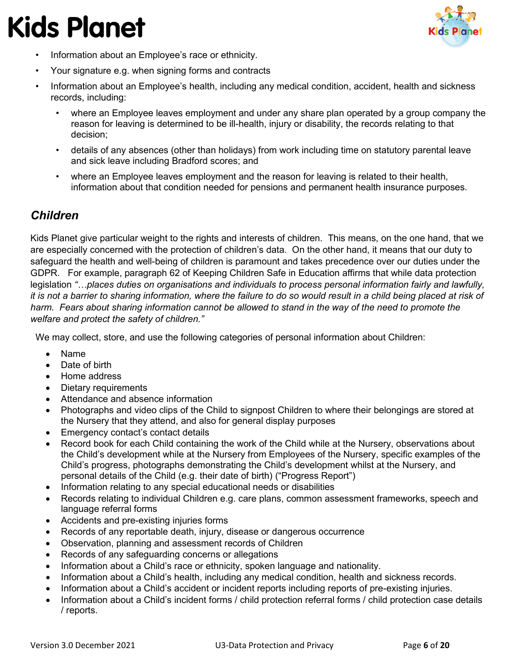

- Information about an Employee's race or ethnicity.
- Your signature e.g. when signing forms and contracts
- Information about an Employee's health, including any medical condition, accident, health and sickness records, including:
	- where an Employee leaves employment and under any share plan operated by a group company the reason for leaving is determined to be ill-health, injury or disability, the records relating to that decision;
	- details of any absences (other than holidays) from work including time on statutory parental leave and sick leave including Bradford scores; and
	- where an Employee leaves employment and the reason for leaving is related to their health, information about that condition needed for pensions and permanent health insurance purposes.

### <span id="page-5-0"></span>*Children*

Kids Planet give particular weight to the rights and interests of children. This means, on the one hand, that we are especially concerned with the protection of children's data. On the other hand, it means that our duty to safeguard the health and well-being of children is paramount and takes precedence over our duties under the GDPR. For example, paragraph 62 of Keeping Children Safe in Education affirms that while data protection legislation *"…places duties on organisations and individuals to process personal information fairly and lawfully, it is not a barrier to sharing information, where the failure to do so would result in a child being placed at risk of*  harm. Fears about sharing information cannot be allowed to stand in the way of the need to promote the *welfare and protect the safety of children."*

We may collect, store, and use the following categories of personal information about Children:

- Name
- Date of birth
- Home address
- Dietary requirements
- Attendance and absence information
- Photographs and video clips of the Child to signpost Children to where their belongings are stored at the Nursery that they attend, and also for general display purposes
- Emergency contact's contact details
- Record book for each Child containing the work of the Child while at the Nursery, observations about the Child's development while at the Nursery from Employees of the Nursery, specific examples of the Child's progress, photographs demonstrating the Child's development whilst at the Nursery, and personal details of the Child (e.g. their date of birth) ("Progress Report")
- Information relating to any special educational needs or disabilities
- Records relating to individual Children e.g. care plans, common assessment frameworks, speech and language referral forms
- Accidents and pre-existing injuries forms
- Records of any reportable death, injury, disease or dangerous occurrence
- Observation, planning and assessment records of Children
- Records of any safeguarding concerns or allegations
- Information about a Child's race or ethnicity, spoken language and nationality.
- Information about a Child's health, including any medical condition, health and sickness records.
- Information about a Child's accident or incident reports including reports of pre-existing injuries.
- Information about a Child's incident forms / child protection referral forms / child protection case details / reports.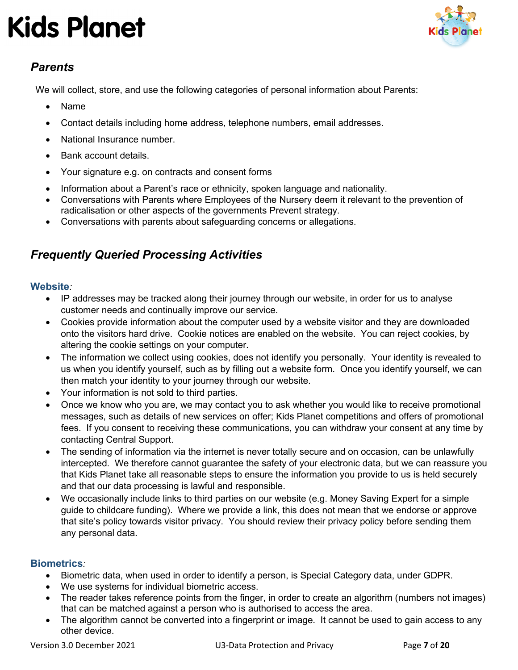

### <span id="page-6-0"></span>*Parents*

We will collect, store, and use the following categories of personal information about Parents:

- Name
- Contact details including home address, telephone numbers, email addresses.
- National Insurance number.
- Bank account details.
- Your signature e.g. on contracts and consent forms
- Information about a Parent's race or ethnicity, spoken language and nationality.
- Conversations with Parents where Employees of the Nursery deem it relevant to the prevention of radicalisation or other aspects of the governments Prevent strategy.
- Conversations with parents about safeguarding concerns or allegations.

### <span id="page-6-1"></span>*Frequently Queried Processing Activities*

#### <span id="page-6-2"></span>**Website***:*

- IP addresses may be tracked along their journey through our website, in order for us to analyse customer needs and continually improve our service.
- Cookies provide information about the computer used by a website visitor and they are downloaded onto the visitors hard drive. Cookie notices are enabled on the website. You can reject cookies, by altering the cookie settings on your computer.
- The information we collect using cookies, does not identify you personally. Your identity is revealed to us when you identify yourself, such as by filling out a website form. Once you identify yourself, we can then match your identity to your journey through our website.
- Your information is not sold to third parties.
- Once we know who you are, we may contact you to ask whether you would like to receive promotional messages, such as details of new services on offer; Kids Planet competitions and offers of promotional fees. If you consent to receiving these communications, you can withdraw your consent at any time by contacting Central Support.
- The sending of information via the internet is never totally secure and on occasion, can be unlawfully intercepted. We therefore cannot guarantee the safety of your electronic data, but we can reassure you that Kids Planet take all reasonable steps to ensure the information you provide to us is held securely and that our data processing is lawful and responsible.
- We occasionally include links to third parties on our website (e.g. Money Saving Expert for a simple guide to childcare funding). Where we provide a link, this does not mean that we endorse or approve that site's policy towards visitor privacy. You should review their privacy policy before sending them any personal data.

#### <span id="page-6-3"></span>**Biometrics***:*

- Biometric data, when used in order to identify a person, is Special Category data, under GDPR.
- We use systems for individual biometric access.
- The reader takes reference points from the finger, in order to create an algorithm (numbers not images) that can be matched against a person who is authorised to access the area.
- The algorithm cannot be converted into a fingerprint or image. It cannot be used to gain access to any other device.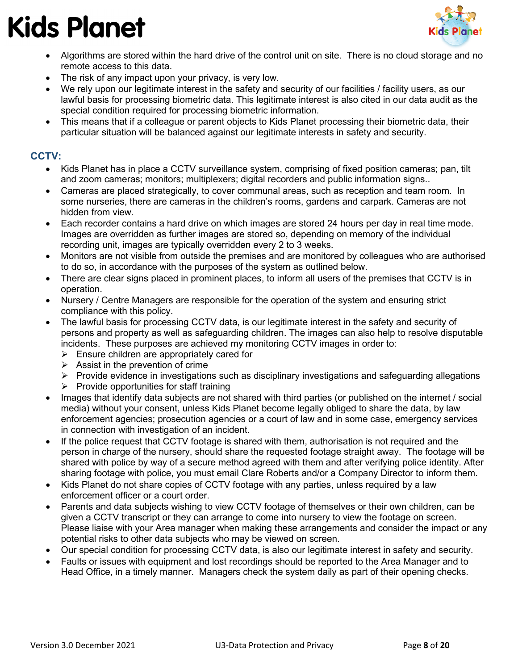

- Algorithms are stored within the hard drive of the control unit on site. There is no cloud storage and no remote access to this data.
- The risk of any impact upon your privacy, is very low.
- We rely upon our legitimate interest in the safety and security of our facilities / facility users, as our lawful basis for processing biometric data. This legitimate interest is also cited in our data audit as the special condition required for processing biometric information.
- This means that if a colleague or parent objects to Kids Planet processing their biometric data, their particular situation will be balanced against our legitimate interests in safety and security.

#### <span id="page-7-0"></span>**CCTV:**

- Kids Planet has in place a CCTV surveillance system, comprising of fixed position cameras; pan, tilt and zoom cameras; monitors; multiplexers; digital recorders and public information signs..
- Cameras are placed strategically, to cover communal areas, such as reception and team room. In some nurseries, there are cameras in the children's rooms, gardens and carpark. Cameras are not hidden from view.
- Each recorder contains a hard drive on which images are stored 24 hours per day in real time mode. Images are overridden as further images are stored so, depending on memory of the individual recording unit, images are typically overridden every 2 to 3 weeks.
- Monitors are not visible from outside the premises and are monitored by colleagues who are authorised to do so, in accordance with the purposes of the system as outlined below.
- There are clear signs placed in prominent places, to inform all users of the premises that CCTV is in operation.
- Nursery / Centre Managers are responsible for the operation of the system and ensuring strict compliance with this policy.
- The lawful basis for processing CCTV data, is our legitimate interest in the safety and security of persons and property as well as safeguarding children. The images can also help to resolve disputable incidents. These purposes are achieved my monitoring CCTV images in order to:
	- $\triangleright$  Ensure children are appropriately cared for
	- $\triangleright$  Assist in the prevention of crime
	- $\triangleright$  Provide evidence in investigations such as disciplinary investigations and safeguarding allegations
	- $\triangleright$  Provide opportunities for staff training
- Images that identify data subjects are not shared with third parties (or published on the internet / social media) without your consent, unless Kids Planet become legally obliged to share the data, by law enforcement agencies; prosecution agencies or a court of law and in some case, emergency services in connection with investigation of an incident.
- If the police request that CCTV footage is shared with them, authorisation is not required and the person in charge of the nursery, should share the requested footage straight away. The footage will be shared with police by way of a secure method agreed with them and after verifying police identity. After sharing footage with police, you must email Clare Roberts and/or a Company Director to inform them.
- Kids Planet do not share copies of CCTV footage with any parties, unless required by a law enforcement officer or a court order.
- Parents and data subjects wishing to view CCTV footage of themselves or their own children, can be given a CCTV transcript or they can arrange to come into nursery to view the footage on screen. Please liaise with your Area manager when making these arrangements and consider the impact or any potential risks to other data subjects who may be viewed on screen.
- Our special condition for processing CCTV data, is also our legitimate interest in safety and security.
- Faults or issues with equipment and lost recordings should be reported to the Area Manager and to Head Office, in a timely manner. Managers check the system daily as part of their opening checks.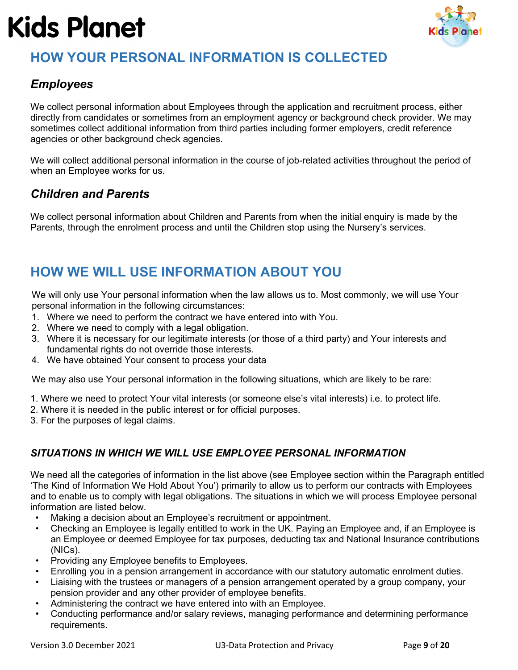

## <span id="page-8-0"></span>**HOW YOUR PERSONAL INFORMATION IS COLLECTED**

### <span id="page-8-1"></span>*Employees*

We collect personal information about Employees through the application and recruitment process, either directly from candidates or sometimes from an employment agency or background check provider. We may sometimes collect additional information from third parties including former employers, credit reference agencies or other background check agencies.

We will collect additional personal information in the course of job-related activities throughout the period of when an Employee works for us.

### <span id="page-8-2"></span>*Children and Parents*

We collect personal information about Children and Parents from when the initial enquiry is made by the Parents, through the enrolment process and until the Children stop using the Nursery's services.

### <span id="page-8-3"></span>**HOW WE WILL USE INFORMATION ABOUT YOU**

We will only use Your personal information when the law allows us to. Most commonly, we will use Your personal information in the following circumstances:

- 1. Where we need to perform the contract we have entered into with You.
- 2. Where we need to comply with a legal obligation.
- 3. Where it is necessary for our legitimate interests (or those of a third party) and Your interests and fundamental rights do not override those interests.
- 4. We have obtained Your consent to process your data

We may also use Your personal information in the following situations, which are likely to be rare:

- 1. Where we need to protect Your vital interests (or someone else's vital interests) i.e. to protect life.
- 2. Where it is needed in the public interest or for official purposes.
- 3. For the purposes of legal claims.

#### <span id="page-8-4"></span>*SITUATIONS IN WHICH WE WILL USE EMPLOYEE PERSONAL INFORMATION*

We need all the categories of information in the list above (see Employee section within the [Paragraph](#page-4-0) entitled 'The Kind of Information We Hold About You') primarily to allow us to perform our contracts with Employees and to enable us to comply with legal obligations. The situations in which we will process Employee personal information are listed below.

- Making a decision about an Employee's recruitment or appointment.
- Checking an Employee is legally entitled to work in the UK. Paying an Employee and, if an Employee is an Employee or deemed Employee for tax purposes, deducting tax and National Insurance contributions (NICs).
- Providing any Employee benefits to Employees.
- Enrolling you in a pension arrangement in accordance with our statutory automatic enrolment duties.
- Liaising with the trustees or managers of a pension arrangement operated by a group company, your pension provider and any other provider of employee benefits.
- Administering the contract we have entered into with an Employee.
- Conducting performance and/or salary reviews, managing performance and determining performance requirements.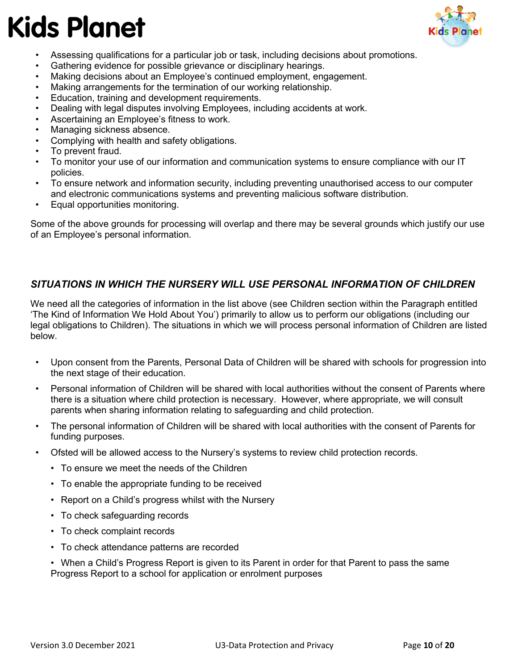

- Assessing qualifications for a particular job or task, including decisions about promotions.
- Gathering evidence for possible grievance or disciplinary hearings.
- Making decisions about an Employee's continued employment, engagement.
- Making arrangements for the termination of our working relationship.
- Education, training and development requirements.
- Dealing with legal disputes involving Employees, including accidents at work.
- Ascertaining an Employee's fitness to work.
- Managing sickness absence.
- Complying with health and safety obligations.
- To prevent fraud.
- To monitor your use of our information and communication systems to ensure compliance with our IT policies.
- To ensure network and information security, including preventing unauthorised access to our computer and electronic communications systems and preventing malicious software distribution.
- Equal opportunities monitoring.

Some of the above grounds for processing will overlap and there may be several grounds which justify our use of an Employee's personal information.

#### <span id="page-9-0"></span>*SITUATIONS IN WHICH THE NURSERY WILL USE PERSONAL INFORMATION OF CHILDREN*

We need all the categories of information in the list above (see Children section within the Paragraph entitled 'The Kind of Information We Hold About You') primarily to allow us to perform our obligations (including our legal obligations to Children). The situations in which we will process personal information of Children are listed below.

- Upon consent from the Parents, Personal Data of Children will be shared with schools for progression into the next stage of their education.
- Personal information of Children will be shared with local authorities without the consent of Parents where there is a situation where child protection is necessary. However, where appropriate, we will consult parents when sharing information relating to safeguarding and child protection.
- The personal information of Children will be shared with local authorities with the consent of Parents for funding purposes.
- Ofsted will be allowed access to the Nursery's systems to review child protection records.
	- To ensure we meet the needs of the Children
	- To enable the appropriate funding to be received
	- Report on a Child's progress whilst with the Nursery
	- To check safeguarding records
	- To check complaint records
	- To check attendance patterns are recorded
	- When a Child's Progress Report is given to its Parent in order for that Parent to pass the same Progress Report to a school for application or enrolment purposes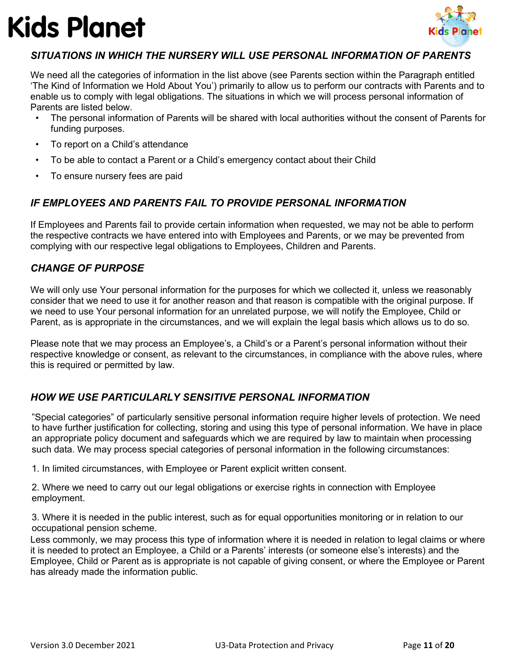

#### <span id="page-10-0"></span>*SITUATIONS IN WHICH THE NURSERY WILL USE PERSONAL INFORMATION OF PARENTS*

We need all the categories of information in the list above (see Parents section within the Paragraph entitled 'The Kind of Information we Hold About You') primarily to allow us to perform our contracts with Parents and to enable us to comply with legal obligations. The situations in which we will process personal information of Parents are listed below.

- The personal information of Parents will be shared with local authorities without the consent of Parents for funding purposes.
- To report on a Child's attendance
- To be able to contact a Parent or a Child's emergency contact about their Child
- To ensure nursery fees are paid

#### <span id="page-10-1"></span>*IF EMPLOYEES AND PARENTS FAIL TO PROVIDE PERSONAL INFORMATION*

If Employees and Parents fail to provide certain information when requested, we may not be able to perform the respective contracts we have entered into with Employees and Parents, or we may be prevented from complying with our respective legal obligations to Employees, Children and Parents.

#### <span id="page-10-2"></span>*CHANGE OF PURPOSE*

We will only use Your personal information for the purposes for which we collected it, unless we reasonably consider that we need to use it for another reason and that reason is compatible with the original purpose. If we need to use Your personal information for an unrelated purpose, we will notify the Employee, Child or Parent, as is appropriate in the circumstances, and we will explain the legal basis which allows us to do so.

Please note that we may process an Employee's, a Child's or a Parent's personal information without their respective knowledge or consent, as relevant to the circumstances, in compliance with the above rules, where this is required or permitted by law.

#### <span id="page-10-3"></span>*HOW WE USE PARTICULARLY SENSITIVE PERSONAL INFORMATION*

"Special categories" of particularly sensitive personal information require higher levels of protection. We need to have further justification for collecting, storing and using this type of personal information. We have in place an appropriate policy document and safeguards which we are required by law to maintain when processing such data. We may process special categories of personal information in the following circumstances:

1. In limited circumstances, with Employee or Parent explicit written consent.

2. Where we need to carry out our legal obligations or exercise rights in connection with Employee employment.

3. Where it is needed in the public interest, such as for equal opportunities monitoring or in relation to our occupational pension scheme.

Less commonly, we may process this type of information where it is needed in relation to legal claims or where it is needed to protect an Employee, a Child or a Parents' interests (or someone else's interests) and the Employee, Child or Parent as is appropriate is not capable of giving consent, or where the Employee or Parent has already made the information public.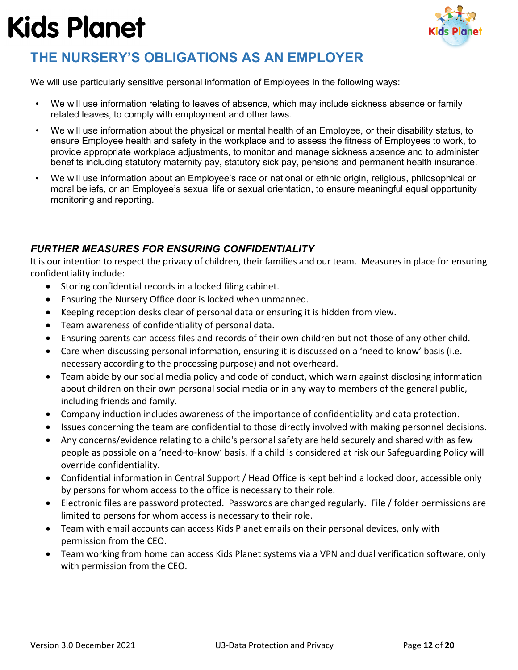

## <span id="page-11-0"></span>**THE NURSERY'S OBLIGATIONS AS AN EMPLOYER**

We will use particularly sensitive personal information of Employees in the following ways:

- We will use information relating to leaves of absence, which may include sickness absence or family related leaves, to comply with employment and other laws.
- We will use information about the physical or mental health of an Employee, or their disability status, to ensure Employee health and safety in the workplace and to assess the fitness of Employees to work, to provide appropriate workplace adjustments, to monitor and manage sickness absence and to administer benefits including statutory maternity pay, statutory sick pay, pensions and permanent health insurance.
- We will use information about an Employee's race or national or ethnic origin, religious, philosophical or moral beliefs, or an Employee's sexual life or sexual orientation, to ensure meaningful equal opportunity monitoring and reporting.

### <span id="page-11-1"></span>*FURTHER MEASURES FOR ENSURING CONFIDENTIALITY*

It is our intention to respect the privacy of children, their families and our team. Measures in place for ensuring confidentiality include:

- Storing confidential records in a locked filing cabinet.
- Ensuring the Nursery Office door is locked when unmanned.
- Keeping reception desks clear of personal data or ensuring it is hidden from view.
- Team awareness of confidentiality of personal data.
- Ensuring parents can access files and records of their own children but not those of any other child.
- Care when discussing personal information, ensuring it is discussed on a 'need to know' basis (i.e. necessary according to the processing purpose) and not overheard.
- Team abide by our social media policy and code of conduct, which warn against disclosing information about children on their own personal social media or in any way to members of the general public, including friends and family.
- Company induction includes awareness of the importance of confidentiality and data protection.
- Issues concerning the team are confidential to those directly involved with making personnel decisions.
- Any concerns/evidence relating to a child's personal safety are held securely and shared with as few people as possible on a 'need-to-know' basis. If a child is considered at risk our Safeguarding Policy will override confidentiality.
- Confidential information in Central Support / Head Office is kept behind a locked door, accessible only by persons for whom access to the office is necessary to their role.
- Electronic files are password protected. Passwords are changed regularly. File / folder permissions are limited to persons for whom access is necessary to their role.
- Team with email accounts can access Kids Planet emails on their personal devices, only with permission from the CEO.
- Team working from home can access Kids Planet systems via a VPN and dual verification software, only with permission from the CEO.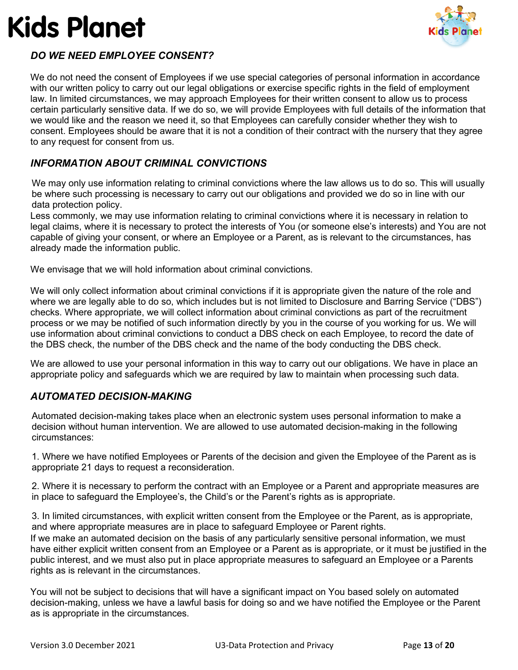

### <span id="page-12-0"></span>*DO WE NEED EMPLOYEE CONSENT?*

We do not need the consent of Employees if we use special categories of personal information in accordance with our written policy to carry out our legal obligations or exercise specific rights in the field of employment law. In limited circumstances, we may approach Employees for their written consent to allow us to process certain particularly sensitive data. If we do so, we will provide Employees with full details of the information that we would like and the reason we need it, so that Employees can carefully consider whether they wish to consent. Employees should be aware that it is not a condition of their contract with the nursery that they agree to any request for consent from us.

#### <span id="page-12-1"></span>*INFORMATION ABOUT CRIMINAL CONVICTIONS*

We may only use information relating to criminal convictions where the law allows us to do so. This will usually be where such processing is necessary to carry out our obligations and provided we do so in line with our data protection policy.

Less commonly, we may use information relating to criminal convictions where it is necessary in relation to legal claims, where it is necessary to protect the interests of You (or someone else's interests) and You are not capable of giving your consent, or where an Employee or a Parent, as is relevant to the circumstances, has already made the information public.

We envisage that we will hold information about criminal convictions.

We will only collect information about criminal convictions if it is appropriate given the nature of the role and where we are legally able to do so, which includes but is not limited to Disclosure and Barring Service ("DBS") checks. Where appropriate, we will collect information about criminal convictions as part of the recruitment process or we may be notified of such information directly by you in the course of you working for us. We will use information about criminal convictions to conduct a DBS check on each Employee, to record the date of the DBS check, the number of the DBS check and the name of the body conducting the DBS check.

We are allowed to use your personal information in this way to carry out our obligations. We have in place an appropriate policy and safeguards which we are required by law to maintain when processing such data.

#### <span id="page-12-2"></span>*AUTOMATED DECISION-MAKING*

Automated decision-making takes place when an electronic system uses personal information to make a decision without human intervention. We are allowed to use automated decision-making in the following circumstances:

1. Where we have notified Employees or Parents of the decision and given the Employee of the Parent as is appropriate 21 days to request a reconsideration.

2. Where it is necessary to perform the contract with an Employee or a Parent and appropriate measures are in place to safeguard the Employee's, the Child's or the Parent's rights as is appropriate.

3. In limited circumstances, with explicit written consent from the Employee or the Parent, as is appropriate, and where appropriate measures are in place to safeguard Employee or Parent rights.

If we make an automated decision on the basis of any particularly sensitive personal information, we must have either explicit written consent from an Employee or a Parent as is appropriate, or it must be justified in the public interest, and we must also put in place appropriate measures to safeguard an Employee or a Parents rights as is relevant in the circumstances.

You will not be subject to decisions that will have a significant impact on You based solely on automated decision-making, unless we have a lawful basis for doing so and we have notified the Employee or the Parent as is appropriate in the circumstances.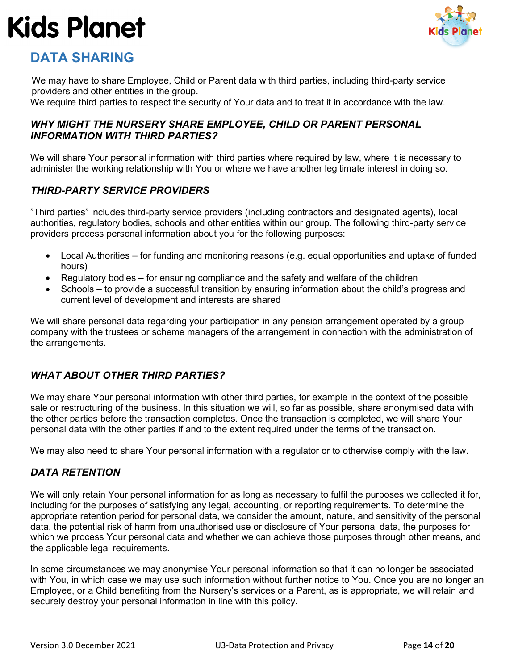

### <span id="page-13-0"></span>**DATA SHARING**

We may have to share Employee, Child or Parent data with third parties, including third-party service providers and other entities in the group.

We require third parties to respect the security of Your data and to treat it in accordance with the law.

#### <span id="page-13-1"></span>*WHY MIGHT THE NURSERY SHARE EMPLOYEE, CHILD OR PARENT PERSONAL INFORMATION WITH THIRD PARTIES?*

We will share Your personal information with third parties where required by law, where it is necessary to administer the working relationship with You or where we have another legitimate interest in doing so.

#### <span id="page-13-2"></span>*THIRD-PARTY SERVICE PROVIDERS*

"Third parties" includes third-party service providers (including contractors and designated agents), local authorities, regulatory bodies, schools and other entities within our group. The following third-party service providers process personal information about you for the following purposes:

- Local Authorities for funding and monitoring reasons (e.g. equal opportunities and uptake of funded hours)
- Regulatory bodies for ensuring compliance and the safety and welfare of the children
- Schools to provide a successful transition by ensuring information about the child's progress and current level of development and interests are shared

We will share personal data regarding your participation in any pension arrangement operated by a group company with the trustees or scheme managers of the arrangement in connection with the administration of the arrangements.

#### <span id="page-13-3"></span>*WHAT ABOUT OTHER THIRD PARTIES?*

We may share Your personal information with other third parties, for example in the context of the possible sale or restructuring of the business. In this situation we will, so far as possible, share anonymised data with the other parties before the transaction completes. Once the transaction is completed, we will share Your personal data with the other parties if and to the extent required under the terms of the transaction.

We may also need to share Your personal information with a regulator or to otherwise comply with the law.

#### <span id="page-13-4"></span>*DATA RETENTION*

We will only retain Your personal information for as long as necessary to fulfil the purposes we collected it for, including for the purposes of satisfying any legal, accounting, or reporting requirements. To determine the appropriate retention period for personal data, we consider the amount, nature, and sensitivity of the personal data, the potential risk of harm from unauthorised use or disclosure of Your personal data, the purposes for which we process Your personal data and whether we can achieve those purposes through other means, and the applicable legal requirements.

In some circumstances we may anonymise Your personal information so that it can no longer be associated with You, in which case we may use such information without further notice to You. Once you are no longer an Employee, or a Child benefiting from the Nursery's services or a Parent, as is appropriate, we will retain and securely destroy your personal information in line with this policy.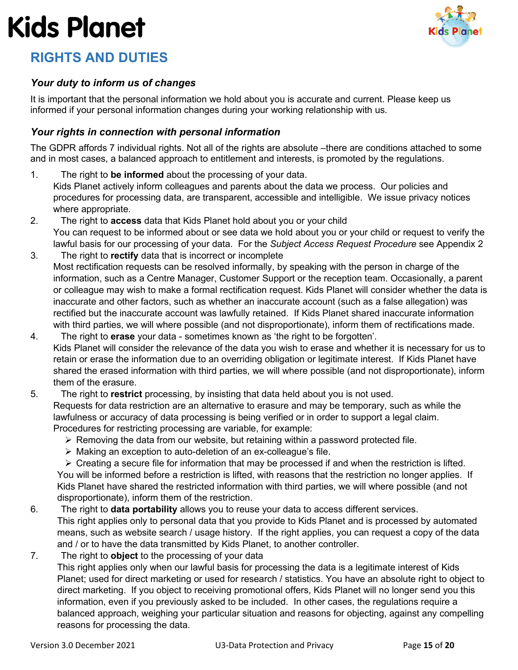

## <span id="page-14-0"></span>**RIGHTS AND DUTIES**

#### <span id="page-14-1"></span>*Your duty to inform us of changes*

It is important that the personal information we hold about you is accurate and current. Please keep us informed if your personal information changes during your working relationship with us.

#### <span id="page-14-2"></span>*Your rights in connection with personal information*

The GDPR affords 7 individual rights. Not all of the rights are absolute –there are conditions attached to some and in most cases, a balanced approach to entitlement and interests, is promoted by the regulations.

- 1. The right to **be informed** about the processing of your data. Kids Planet actively inform colleagues and parents about the data we process. Our policies and procedures for processing data, are transparent, accessible and intelligible. We issue privacy notices where appropriate.
- 2. The right to **access** data that Kids Planet hold about you or your child You can request to be informed about or see data we hold about you or your child or request to verify the lawful basis for our processing of your data. For the *Subject Access Request Procedure* see Appendix 2
- 3. The right to **rectify** data that is incorrect or incomplete Most rectification requests can be resolved informally, by speaking with the person in charge of the information, such as a Centre Manager, Customer Support or the reception team. Occasionally, a parent or colleague may wish to make a formal rectification request. Kids Planet will consider whether the data is inaccurate and other factors, such as whether an inaccurate account (such as a false allegation) was rectified but the inaccurate account was lawfully retained. If Kids Planet shared inaccurate information with third parties, we will where possible (and not disproportionate), inform them of rectifications made.
- 4. The right to **erase** your data sometimes known as 'the right to be forgotten'. Kids Planet will consider the relevance of the data you wish to erase and whether it is necessary for us to retain or erase the information due to an overriding obligation or legitimate interest. If Kids Planet have shared the erased information with third parties, we will where possible (and not disproportionate), inform them of the erasure.
- 5. The right to **restrict** processing, by insisting that data held about you is not used. Requests for data restriction are an alternative to erasure and may be temporary, such as while the lawfulness or accuracy of data processing is being verified or in order to support a legal claim. Procedures for restricting processing are variable, for example:
	- $\triangleright$  Removing the data from our website, but retaining within a password protected file.
	- Making an exception to auto-deletion of an ex-colleague's file.

 $\triangleright$  Creating a secure file for information that may be processed if and when the restriction is lifted. You will be informed before a restriction is lifted, with reasons that the restriction no longer applies. If Kids Planet have shared the restricted information with third parties, we will where possible (and not disproportionate), inform them of the restriction.

- 6. The right to **data portability** allows you to reuse your data to access different services. This right applies only to personal data that you provide to Kids Planet and is processed by automated means, such as website search / usage history. If the right applies, you can request a copy of the data and / or to have the data transmitted by Kids Planet, to another controller.
- 7. The right to **object** to the processing of your data

This right applies only when our lawful basis for processing the data is a legitimate interest of Kids Planet; used for direct marketing or used for research / statistics. You have an absolute right to object to direct marketing. If you object to receiving promotional offers, Kids Planet will no longer send you this information, even if you previously asked to be included. In other cases, the regulations require a balanced approach, weighing your particular situation and reasons for objecting, against any compelling reasons for processing the data.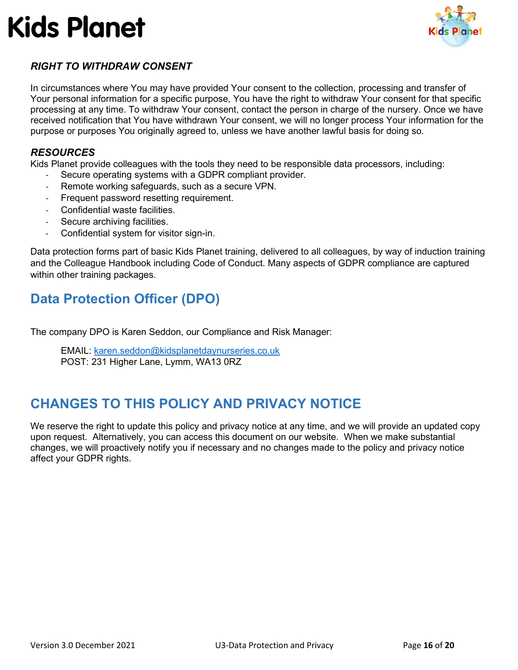

### <span id="page-15-0"></span>*RIGHT TO WITHDRAW CONSENT*

In circumstances where You may have provided Your consent to the collection, processing and transfer of Your personal information for a specific purpose, You have the right to withdraw Your consent for that specific processing at any time. To withdraw Your consent, contact the person in charge of the nursery. Once we have received notification that You have withdrawn Your consent, we will no longer process Your information for the purpose or purposes You originally agreed to, unless we have another lawful basis for doing so.

#### <span id="page-15-1"></span>*RESOURCES*

Kids Planet provide colleagues with the tools they need to be responsible data processors, including:

- Secure operating systems with a GDPR compliant provider.
- Remote working safeguards, such as a secure VPN.
- Frequent password resetting requirement.
- Confidential waste facilities.
- Secure archiving facilities.
- Confidential system for visitor sign-in.

Data protection forms part of basic Kids Planet training, delivered to all colleagues, by way of induction training and the Colleague Handbook including Code of Conduct. Many aspects of GDPR compliance are captured within other training packages.

### <span id="page-15-2"></span>**Data Protection Officer (DPO)**

The company DPO is Karen Seddon, our Compliance and Risk Manager:

EMAIL: [karen.seddon@kidsplanetdaynurseries.co.uk](mailto:karen.seddon@kidsplanetdaynurseries.co.uk) POST: 231 Higher Lane, Lymm, WA13 0RZ

### <span id="page-15-3"></span>**CHANGES TO THIS POLICY AND PRIVACY NOTICE**

We reserve the right to update this policy and privacy notice at any time, and we will provide an updated copy upon request. Alternatively, you can access this document on our website. When we make substantial changes, we will proactively notify you if necessary and no changes made to the policy and privacy notice affect your GDPR rights.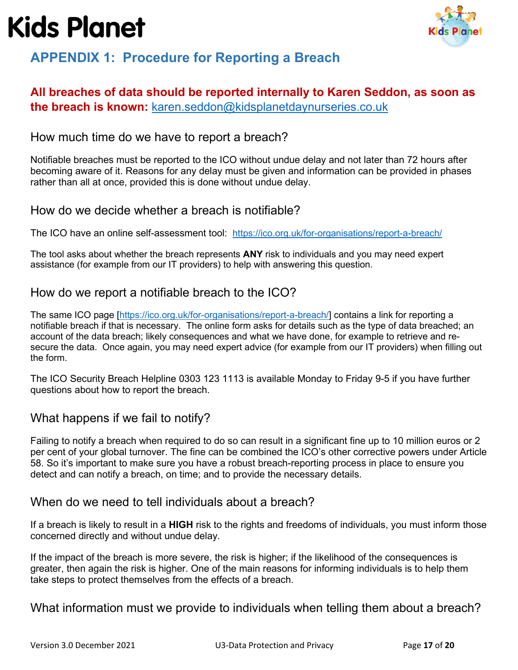

### <span id="page-16-0"></span>**APPENDIX 1: Procedure for Reporting a Breach**

### **All breaches of data should be reported internally to Karen Seddon, as soon as the breach is known:** [karen.seddon@kidsplanetdaynurseries.co.uk](mailto:karen.seddon@kidsplanetdaynurseries.co.uk)

### How much time do we have to report a breach?

Notifiable breaches must be reported to the ICO without undue delay and not later than 72 hours after becoming aware of it. Reasons for any delay must be given and information can be provided in phases rather than all at once, provided this is done without undue delay.

### How do we decide whether a breach is notifiable?

The ICO have an online self-assessment tool: <https://ico.org.uk/for-organisations/report-a-breach/>

The tool asks about whether the breach represents **ANY** risk to individuals and you may need expert assistance (for example from our IT providers) to help with answering this question.

### How do we report a notifiable breach to the ICO?

The same ICO page [\[https://ico.org.uk/for-organisations/report-a-breach/\]](https://ico.org.uk/for-organisations/report-a-breach/) contains a link for reporting a notifiable breach if that is necessary. The online form asks for details such as the type of data breached; an account of the data breach; likely consequences and what we have done, for example to retrieve and resecure the data. Once again, you may need expert advice (for example from our IT providers) when filling out the form.

The ICO Security Breach Helpline 0303 123 1113 is available Monday to Friday 9-5 if you have further questions about how to report the breach.

### What happens if we fail to notify?

Failing to notify a breach when required to do so can result in a significant fine up to 10 million euros or 2 per cent of your global turnover. The fine can be combined the ICO's other corrective powers under Article 58. So it's important to make sure you have a robust breach-reporting process in place to ensure you detect and can notify a breach, on time; and to provide the necessary details.

#### When do we need to tell individuals about a breach?

If a breach is likely to result in a **HIGH** risk to the rights and freedoms of individuals, you must inform those concerned directly and without undue delay.

If the impact of the breach is more severe, the risk is higher; if the likelihood of the consequences is greater, then again the risk is higher. One of the main reasons for informing individuals is to help them take steps to protect themselves from the effects of a breach.

What information must we provide to individuals when telling them about a breach?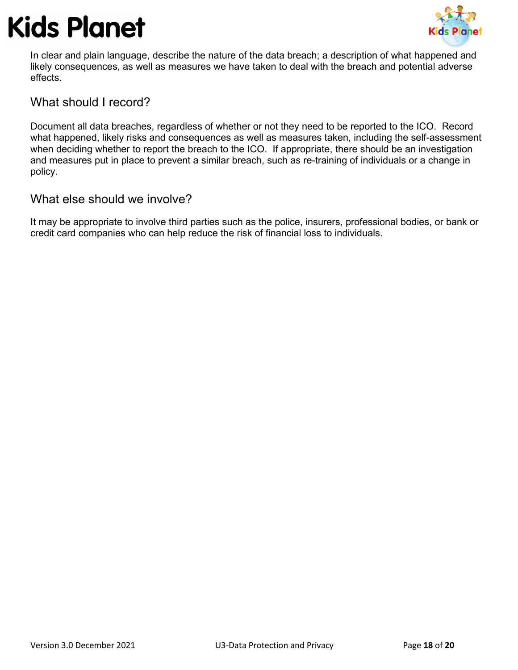

In clear and plain language, describe the nature of the data breach; a description of what happened and likely consequences, as well as measures we have taken to deal with the breach and potential adverse effects.

### What should I record?

Document all data breaches, regardless of whether or not they need to be reported to the ICO. Record what happened, likely risks and consequences as well as measures taken, including the self-assessment when deciding whether to report the breach to the ICO. If appropriate, there should be an investigation and measures put in place to prevent a similar breach, such as re-training of individuals or a change in policy.

### What else should we involve?

It may be appropriate to involve third parties such as the police, insurers, professional bodies, or bank or credit card companies who can help reduce the risk of financial loss to individuals.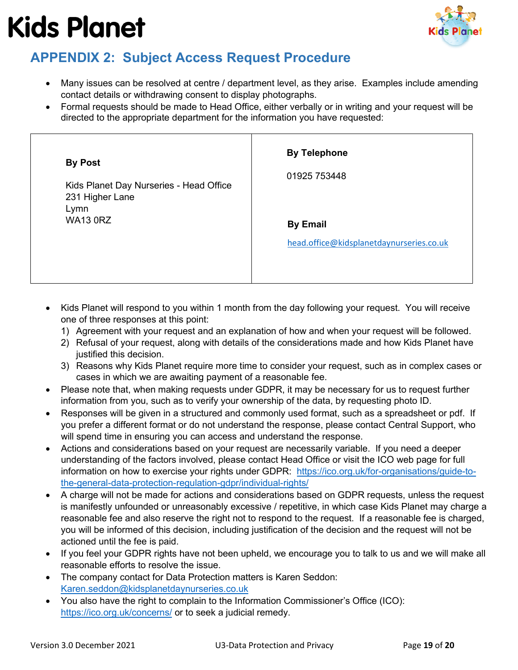

### <span id="page-18-0"></span>**APPENDIX 2: Subject Access Request Procedure**

- Many issues can be resolved at centre / department level, as they arise. Examples include amending contact details or withdrawing consent to display photographs.
- Formal requests should be made to Head Office, either verbally or in writing and your request will be directed to the appropriate department for the information you have requested:

| 231 Higher Lane<br>Lymn<br><b>WA13 0RZ</b><br><b>By Email</b><br>head.office@kidsplanetdaynurseries.co.uk | <b>By Post</b><br>Kids Planet Day Nurseries - Head Office | <b>By Telephone</b><br>01925 753448 |
|-----------------------------------------------------------------------------------------------------------|-----------------------------------------------------------|-------------------------------------|
|-----------------------------------------------------------------------------------------------------------|-----------------------------------------------------------|-------------------------------------|

- Kids Planet will respond to you within 1 month from the day following your request. You will receive one of three responses at this point:
	- 1) Agreement with your request and an explanation of how and when your request will be followed.
	- 2) Refusal of your request, along with details of the considerations made and how Kids Planet have justified this decision.
	- 3) Reasons why Kids Planet require more time to consider your request, such as in complex cases or cases in which we are awaiting payment of a reasonable fee.
- Please note that, when making requests under GDPR, it may be necessary for us to request further information from you, such as to verify your ownership of the data, by requesting photo ID.
- Responses will be given in a structured and commonly used format, such as a spreadsheet or pdf. If you prefer a different format or do not understand the response, please contact Central Support, who will spend time in ensuring you can access and understand the response.
- Actions and considerations based on your request are necessarily variable. If you need a deeper understanding of the factors involved, please contact Head Office or visit the ICO web page for full information on how to exercise your rights under GDPR: [https://ico.org.uk/for-organisations/guide-to](https://ico.org.uk/for-organisations/guide-to-the-general-data-protection-regulation-gdpr/individual-rights/)[the-general-data-protection-regulation-gdpr/individual-rights/](https://ico.org.uk/for-organisations/guide-to-the-general-data-protection-regulation-gdpr/individual-rights/)
- A charge will not be made for actions and considerations based on GDPR requests, unless the request is manifestly unfounded or unreasonably excessive / repetitive, in which case Kids Planet may charge a reasonable fee and also reserve the right not to respond to the request. If a reasonable fee is charged, you will be informed of this decision, including justification of the decision and the request will not be actioned until the fee is paid.
- If you feel your GDPR rights have not been upheld, we encourage you to talk to us and we will make all reasonable efforts to resolve the issue.
- The company contact for Data Protection matters is Karen Seddon: [Karen.seddon@kidsplanetdaynurseries.co.uk](mailto:Karen.seddon@kidsallowed.com)
- You also have the right to complain to the Information Commissioner's Office (ICO): <https://ico.org.uk/concerns/> or to seek a judicial remedy.